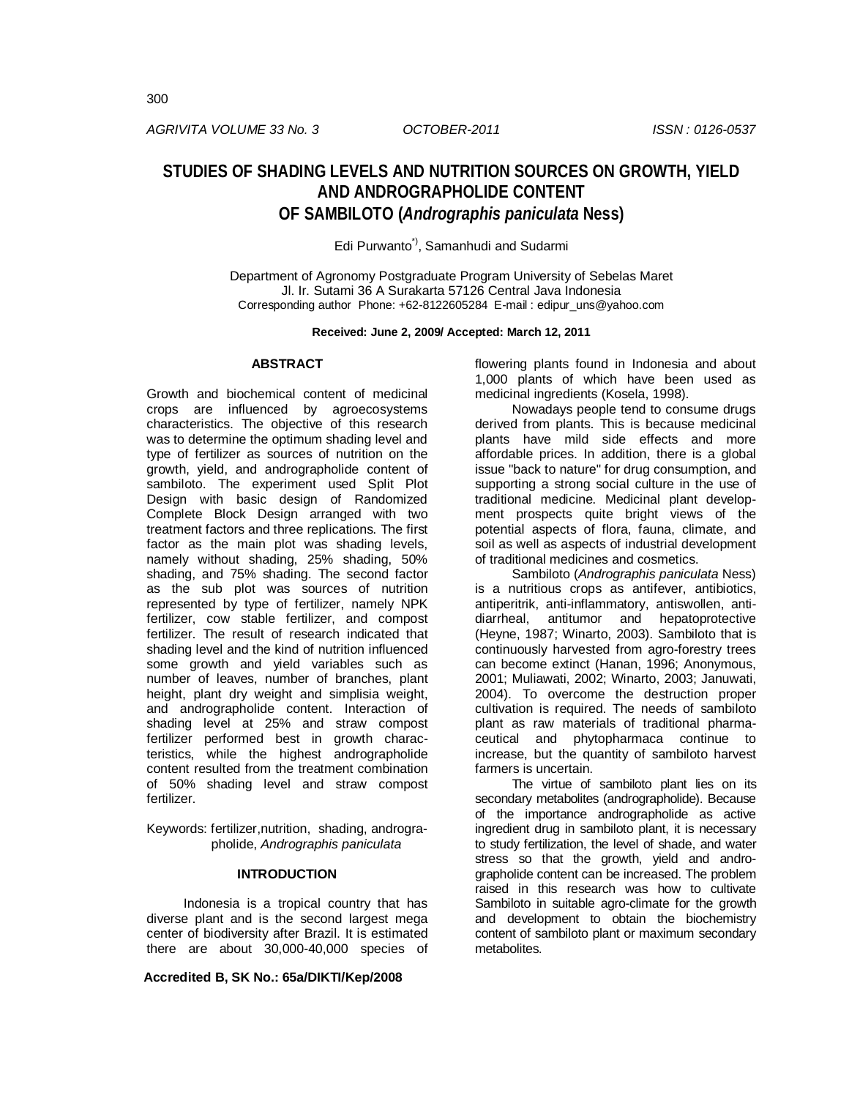*AGRIVITA VOLUME 33 No. 3 OCTOBER-2011 ISSN : 0126-0537*

# **STUDIES OF SHADING LEVELS AND NUTRITION SOURCES ON GROWTH, YIELD AND ANDROGRAPHOLIDE CONTENT OF SAMBILOTO (***Andrographis paniculata* **Ness)**

Edi Purwanto<sup>\*)</sup>, Samanhudi and Sudarmi

Department of Agronomy Postgraduate Program University of Sebelas Maret Jl. Ir. Sutami 36 A Surakarta 57126 Central Java Indonesia Corresponding author Phone: +62-8122605284 E-mail : edipur\_uns@yahoo.com

**Received: June 2, 2009/ Accepted: March 12, 2011**

# **ABSTRACT**

Growth and biochemical content of medicinal crops are influenced by agroecosystems characteristics. The objective of this research was to determine the optimum shading level and type of fertilizer as sources of nutrition on the growth, yield, and andrographolide content of sambiloto. The experiment used Split Plot Design with basic design of Randomized Complete Block Design arranged with two treatment factors and three replications. The first factor as the main plot was shading levels, namely without shading, 25% shading, 50% shading, and 75% shading. The second factor as the sub plot was sources of nutrition represented by type of fertilizer, namely NPK fertilizer, cow stable fertilizer, and compost fertilizer. The result of research indicated that shading level and the kind of nutrition influenced some growth and yield variables such as number of leaves, number of branches, plant height, plant dry weight and simplisia weight, and andrographolide content. Interaction of shading level at 25% and straw compost fertilizer performed best in growth characteristics, while the highest andrographolide content resulted from the treatment combination of 50% shading level and straw compost fertilizer.

Keywords: fertilizer,nutrition, shading, andrographolide, *Andrographis paniculata*

#### **INTRODUCTION**

Indonesia is a tropical country that has diverse plant and is the second largest mega center of biodiversity after Brazil. It is estimated there are about 30,000-40,000 species of

**Accredited B, SK No.: 65a/DIKTI/Kep/2008**

flowering plants found in Indonesia and about 1,000 plants of which have been used as medicinal ingredients (Kosela, 1998).

Nowadays people tend to consume drugs derived from plants. This is because medicinal plants have mild side effects and more affordable prices. In addition, there is a global issue "back to nature" for drug consumption, and supporting a strong social culture in the use of traditional medicine. Medicinal plant development prospects quite bright views of the potential aspects of flora, fauna, climate, and soil as well as aspects of industrial development of traditional medicines and cosmetics.

Sambiloto (*Andrographis paniculata* Ness) is a nutritious crops as antifever, antibiotics, antiperitrik, anti-inflammatory, antiswollen, antidiarrheal, antitumor and hepatoprotective (Heyne, 1987; Winarto, 2003). Sambiloto that is continuously harvested from agro-forestry trees can become extinct (Hanan, 1996; Anonymous, 2001; Muliawati, 2002; Winarto, 2003; Januwati, 2004). To overcome the destruction proper cultivation is required. The needs of sambiloto plant as raw materials of traditional pharmaceutical and phytopharmaca continue to increase, but the quantity of sambiloto harvest farmers is uncertain.

The virtue of sambiloto plant lies on its secondary metabolites (andrographolide). Because of the importance andrographolide as active ingredient drug in sambiloto plant, it is necessary to study fertilization, the level of shade, and water stress so that the growth, yield and andrographolide content can be increased. The problem raised in this research was how to cultivate Sambiloto in suitable agro-climate for the growth and development to obtain the biochemistry content of sambiloto plant or maximum secondary metabolites.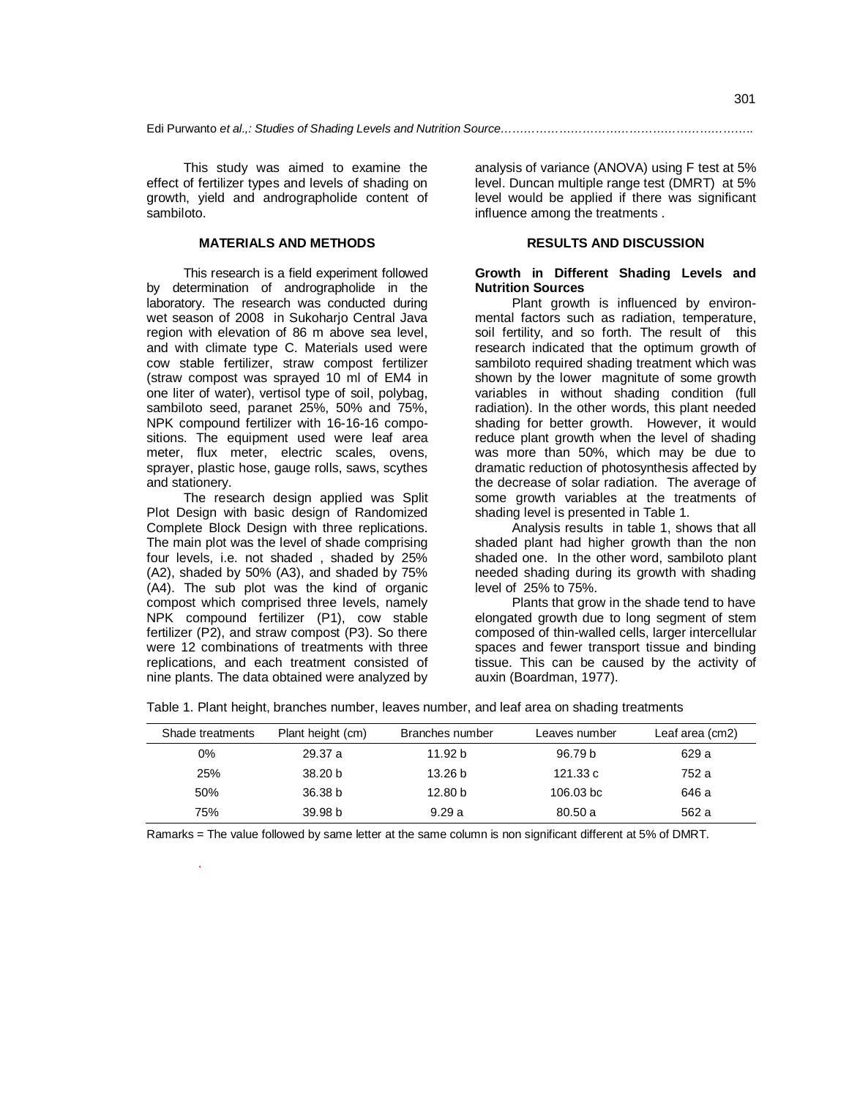This study was aimed to examine the effect of fertilizer types and levels of shading on growth, yield and andrographolide content of sambiloto.

### **MATERIALS AND METHODS**

This research is a field experiment followed by determination of andrographolide in the laboratory. The research was conducted during wet season of 2008 in Sukoharjo Central Java region with elevation of 86 m above sea level, and with climate type C. Materials used were cow stable fertilizer, straw compost fertilizer (straw compost was sprayed 10 ml of EM4 in one liter of water), vertisol type of soil, polybag, sambiloto seed, paranet 25%, 50% and 75%, NPK compound fertilizer with 16-16-16 compositions. The equipment used were leaf area meter, flux meter, electric scales, ovens, sprayer, plastic hose, gauge rolls, saws, scythes and stationery.

The research design applied was Split Plot Design with basic design of Randomized Complete Block Design with three replications. The main plot was the level of shade comprising four levels, i.e. not shaded , shaded by 25% (A2), shaded by 50% (A3), and shaded by 75% (A4). The sub plot was the kind of organic compost which comprised three levels, namely NPK compound fertilizer (P1), cow stable fertilizer (P2), and straw compost (P3). So there were 12 combinations of treatments with three replications, and each treatment consisted of nine plants. The data obtained were analyzed by

.

analysis of variance (ANOVA) using F test at 5% level. Duncan multiple range test (DMRT) at 5% level would be applied if there was significant influence among the treatments .

# **RESULTS AND DISCUSSION**

# **Growth in Different Shading Levels and Nutrition Sources**

Plant growth is influenced by environmental factors such as radiation, temperature, soil fertility, and so forth. The result of this research indicated that the optimum growth of sambiloto required shading treatment which was shown by the lower magnitute of some growth variables in without shading condition (full radiation). In the other words, this plant needed shading for better growth. However, it would reduce plant growth when the level of shading was more than 50%, which may be due to dramatic reduction of photosynthesis affected by the decrease of solar radiation. The average of some growth variables at the treatments of shading level is presented in Table 1.

Analysis results in table 1, shows that all shaded plant had higher growth than the non shaded one. In the other word, sambiloto plant needed shading during its growth with shading level of 25% to 75%.

Plants that grow in the shade tend to have elongated growth due to long segment of stem composed of thin-walled cells, larger intercellular spaces and fewer transport tissue and binding tissue. This can be caused by the activity of auxin (Boardman, 1977).

|  |  | Table 1. Plant height, branches number, leaves number, and leaf area on shading treatments |
|--|--|--------------------------------------------------------------------------------------------|
|  |  |                                                                                            |

| Shade treatments | Plant height (cm)  | Branches number    | Leaves number      | Leaf area (cm2) |
|------------------|--------------------|--------------------|--------------------|-----------------|
| 0%               | 29.37 a            | 11.92 b            | 96.79 <sub>b</sub> | 629 a           |
| 25%              | 38.20 <sub>b</sub> | 13.26 b            | 121.33 c           | 752 a           |
| 50%              | 36.38 <sub>b</sub> | 12.80 <sub>b</sub> | 106.03 bc          | 646 a           |
| 75%              | 39.98 <sub>b</sub> | 9.29a              | 80.50 a            | 562 a           |

Ramarks = The value followed by same letter at the same column is non significant different at 5% of DMRT.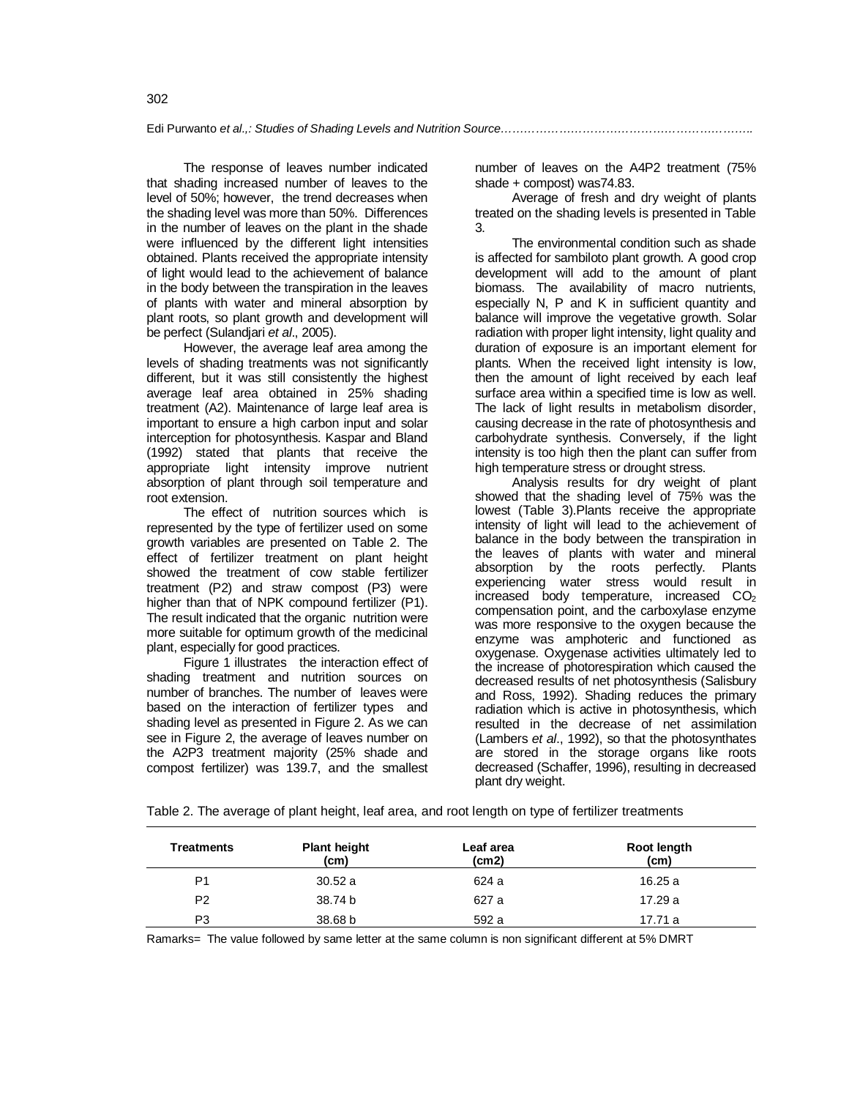Edi Purwanto *et al.,: Studies of Shading Levels and Nutrition Source………………………………………………………..* 

The response of leaves number indicated that shading increased number of leaves to the level of 50%; however, the trend decreases when the shading level was more than 50%. Differences in the number of leaves on the plant in the shade were influenced by the different light intensities obtained. Plants received the appropriate intensity of light would lead to the achievement of balance in the body between the transpiration in the leaves of plants with water and mineral absorption by plant roots, so plant growth and development will be perfect (Sulandjari *et al*., 2005).

However, the average leaf area among the levels of shading treatments was not significantly different, but it was still consistently the highest average leaf area obtained in 25% shading treatment (A2). Maintenance of large leaf area is important to ensure a high carbon input and solar interception for photosynthesis. Kaspar and Bland (1992) stated that plants that receive the appropriate light intensity improve nutrient absorption of plant through soil temperature and root extension.

The effect of nutrition sources which is represented by the type of fertilizer used on some growth variables are presented on Table 2. The effect of fertilizer treatment on plant height showed the treatment of cow stable fertilizer treatment (P2) and straw compost (P3) were higher than that of NPK compound fertilizer (P1). The result indicated that the organic nutrition were more suitable for optimum growth of the medicinal plant, especially for good practices.

Figure 1 illustrates the interaction effect of shading treatment and nutrition sources on number of branches. The number of leaves were based on the interaction of fertilizer types and shading level as presented in Figure 2. As we can see in Figure 2, the average of leaves number on the A2P3 treatment majority (25% shade and compost fertilizer) was 139.7, and the smallest

number of leaves on the A4P2 treatment (75% shade + compost) was74.83.

Average of fresh and dry weight of plants treated on the shading levels is presented in Table 3.

The environmental condition such as shade is affected for sambiloto plant growth. A good crop development will add to the amount of plant biomass. The availability of macro nutrients, especially N, P and K in sufficient quantity and balance will improve the vegetative growth. Solar radiation with proper light intensity, light quality and duration of exposure is an important element for plants. When the received light intensity is low, then the amount of light received by each leaf surface area within a specified time is low as well. The lack of light results in metabolism disorder, causing decrease in the rate of photosynthesis and carbohydrate synthesis. Conversely, if the light intensity is too high then the plant can suffer from high temperature stress or drought stress.

Analysis results for dry weight of plant showed that the shading level of 75% was the lowest (Table 3).Plants receive the appropriate intensity of light will lead to the achievement of balance in the body between the transpiration in the leaves of plants with water and mineral absorption by the roots perfectly. Plants experiencing water stress would result in increased body temperature, increased  $CO<sub>2</sub>$ compensation point, and the carboxylase enzyme was more responsive to the oxygen because the enzyme was amphoteric and functioned as oxygenase. Oxygenase activities ultimately led to the increase of photorespiration which caused the decreased results of net photosynthesis (Salisbury and Ross, 1992). Shading reduces the primary radiation which is active in photosynthesis, which resulted in the decrease of net assimilation (Lambers *et al*., 1992), so that the photosynthates are stored in the storage organs like roots decreased (Schaffer, 1996), resulting in decreased plant dry weight.

| Table 2. The average of plant height, leaf area, and root length on type of fertilizer treatments |  |  |  |
|---------------------------------------------------------------------------------------------------|--|--|--|
|                                                                                                   |  |  |  |

| <b>Treatments</b> | <b>Plant height</b><br>(cm) | Leaf area<br>(cm2) | Root length<br>(cm) |
|-------------------|-----------------------------|--------------------|---------------------|
| P <sub>1</sub>    | 30.52a                      | 624 a              | 16.25 a             |
| P <sub>2</sub>    | 38.74 b                     | 627 a              | 17.29 a             |
| P3                | 38.68 b                     | 592 a              | 17.71 a             |

Ramarks= The value followed by same letter at the same column is non significant different at 5% DMRT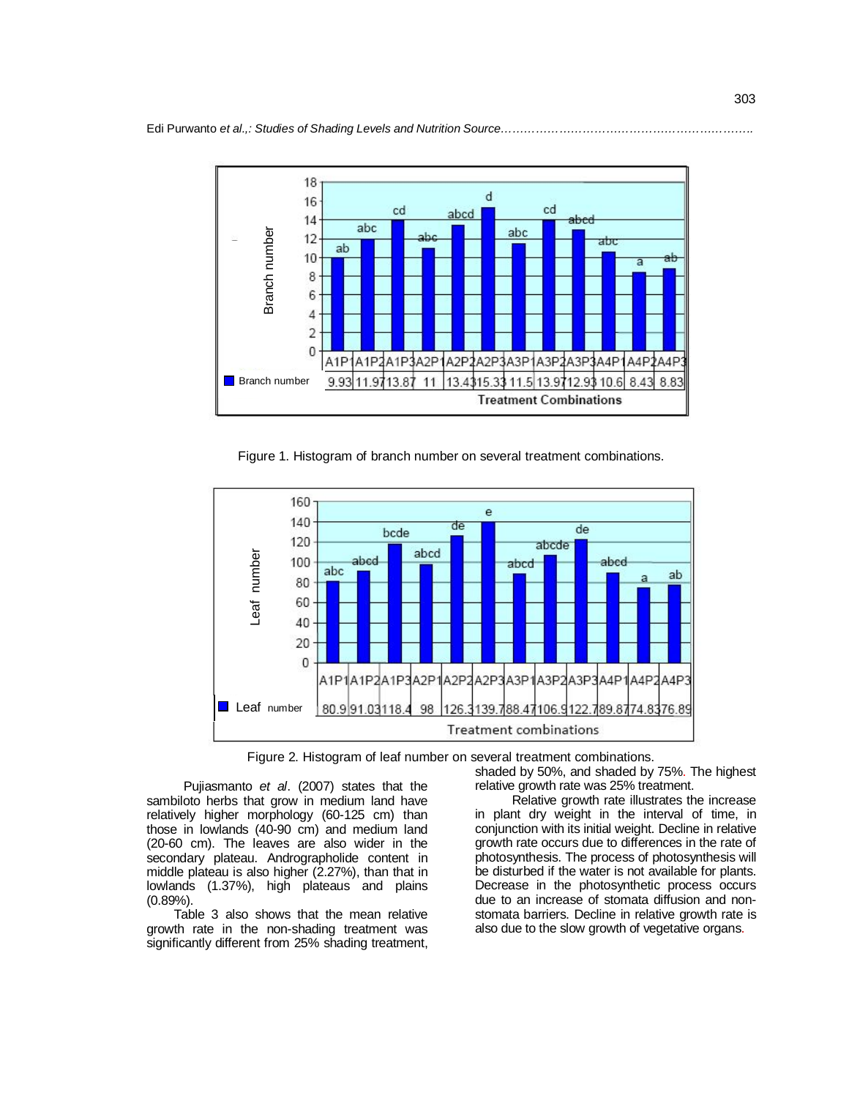

Figure 1. Histogram of branch number on several treatment combinations.



Figure 2. Histogram of leaf number on several treatment combinations.

Pujiasmanto *et al*. (2007) states that the sambiloto herbs that grow in medium land have relatively higher morphology (60-125 cm) than those in lowlands (40-90 cm) and medium land (20-60 cm). The leaves are also wider in the secondary plateau. Andrographolide content in middle plateau is also higher (2.27%), than that in lowlands (1.37%), high plateaus and plains (0.89%).

 Table 3 also shows that the mean relative growth rate in the non-shading treatment was significantly different from 25% shading treatment, shaded by 50%, and shaded by 75%. The highest relative growth rate was 25% treatment.

Relative growth rate illustrates the increase in plant dry weight in the interval of time, in conjunction with its initial weight. Decline in relative growth rate occurs due to differences in the rate of photosynthesis. The process of photosynthesis will be disturbed if the water is not available for plants. Decrease in the photosynthetic process occurs due to an increase of stomata diffusion and nonstomata barriers. Decline in relative growth rate is also due to the slow growth of vegetative organs.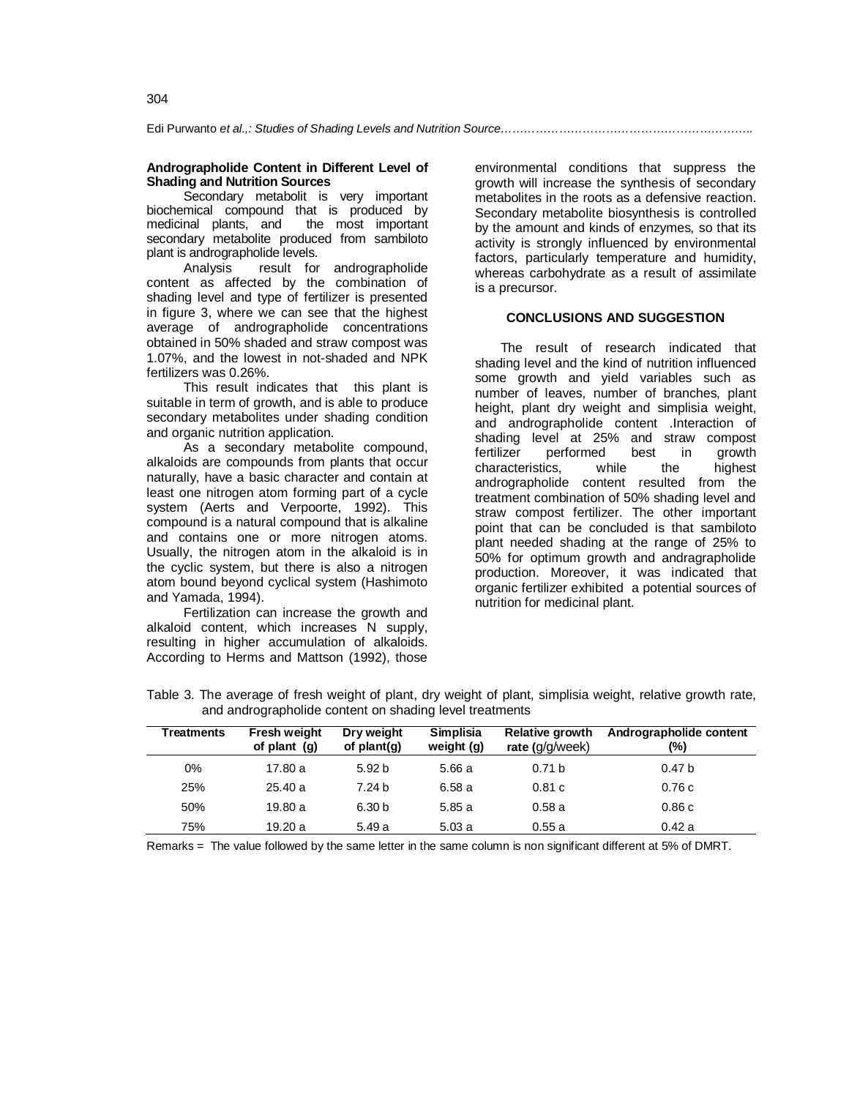Edi Purwanto *et al.,: Studies of Shading Levels and Nutrition Source………………………………………………………..* 

## **Andrographolide Content in Different Level of Shading and Nutrition Sources**

Secondary metabolit is very important biochemical compound that is produced by<br>medicinal plants, and the most important the most important secondary metabolite produced from sambiloto plant is andrographolide levels.

Analysis result for andrographolide content as affected by the combination of shading level and type of fertilizer is presented in figure 3, where we can see that the highest average of andrographolide concentrations obtained in 50% shaded and straw compost was 1.07%, and the lowest in not-shaded and NPK fertilizers was 0.26%.

This result indicates that this plant is suitable in term of growth, and is able to produce secondary metabolites under shading condition and organic nutrition application.

As a secondary metabolite compound, alkaloids are compounds from plants that occur naturally, have a basic character and contain at least one nitrogen atom forming part of a cycle system (Aerts and Verpoorte, 1992). This compound is a natural compound that is alkaline and contains one or more nitrogen atoms. Usually, the nitrogen atom in the alkaloid is in the cyclic system, but there is also a nitrogen atom bound beyond cyclical system (Hashimoto and Yamada, 1994).

Fertilization can increase the growth and alkaloid content, which increases N supply, resulting in higher accumulation of alkaloids. According to Herms and Mattson (1992), those

environmental conditions that suppress the growth will increase the synthesis of secondary metabolites in the roots as a defensive reaction. Secondary metabolite biosynthesis is controlled by the amount and kinds of enzymes, so that its activity is strongly influenced by environmental factors, particularly temperature and humidity, whereas carbohydrate as a result of assimilate is a precursor.

## **CONCLUSIONS AND SUGGESTION**

 The result of research indicated that shading level and the kind of nutrition influenced some growth and yield variables such as number of leaves, number of branches, plant height, plant dry weight and simplisia weight, and andrographolide content .Interaction of shading level at 25% and straw compost fertilizer performed best in growth characteristics, while the highest andrographolide content resulted from the treatment combination of 50% shading level and straw compost fertilizer. The other important point that can be concluded is that sambiloto plant needed shading at the range of 25% to 50% for optimum growth and andragrapholide production. Moreover, it was indicated that organic fertilizer exhibited a potential sources of nutrition for medicinal plant.

| Treatments | Fresh weight<br>of plant $(q)$ | Dry weight<br>of $plant(q)$ | <b>Simplisia</b><br>weight (g) | <b>Relative growth</b><br>rate $(g/g/week)$ | Andrographolide content<br>(%) |
|------------|--------------------------------|-----------------------------|--------------------------------|---------------------------------------------|--------------------------------|
| $0\%$      | 17.80 a                        | 5.92 <sub>b</sub>           | 5.66 a                         | 0.71 <sub>b</sub>                           | 0.47 <sub>b</sub>              |
| <b>25%</b> | 25.40a                         | 7.24 b                      | 6.58 a                         | 0.81c                                       | 0.76c                          |
| 50%        | 19.80a                         | 6.30 b                      | 5.85 a                         | 0.58a                                       | 0.86c                          |
| 75%        | 19.20 a                        | 5.49 a                      | 5.03a                          | 0.55a                                       | 0.42a                          |

Table 3. The average of fresh weight of plant, dry weight of plant, simplisia weight, relative growth rate, and andrographolide content on shading level treatments

Remarks = The value followed by the same letter in the same column is non significant different at 5% of DMRT.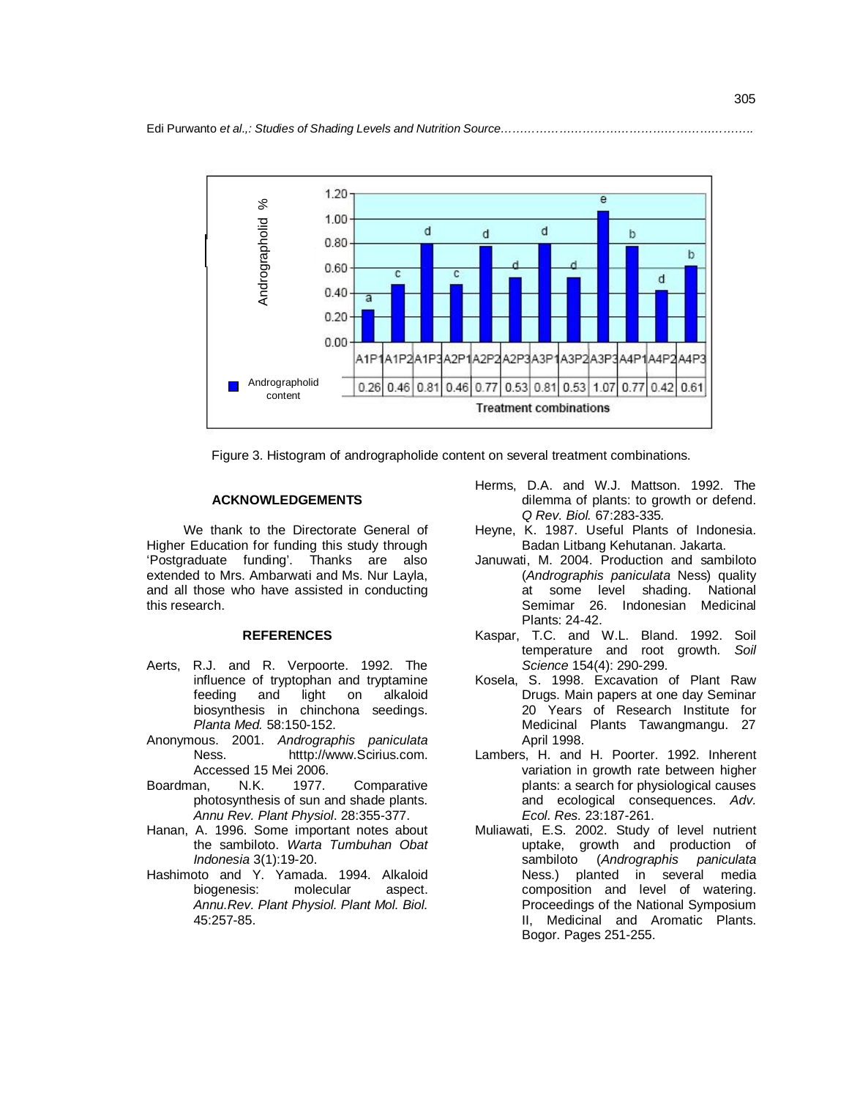

Figure 3. Histogram of andrographolide content on several treatment combinations.

### **ACKNOWLEDGEMENTS**

We thank to the Directorate General of Higher Education for funding this study through 'Postgraduate funding'. Thanks are also extended to Mrs. Ambarwati and Ms. Nur Layla, and all those who have assisted in conducting this research.

# **REFERENCES**

- Aerts, R.J. and R. Verpoorte. 1992. The influence of tryptophan and tryptamine feeding and light on alkaloid biosynthesis in chinchona seedings. *Planta Med.* 58:150-152.
- Anonymous. 2001. *Andrographis paniculata*  Ness. htttp://www.Scirius.com. Accessed 15 Mei 2006.
- Boardman, N.K. 1977. Comparative photosynthesis of sun and shade plants. *Annu Rev. Plant Physiol*. 28:355-377.
- Hanan, A. 1996. Some important notes about the sambiloto. *Warta Tumbuhan Obat Indonesia* 3(1):19-20.
- Hashimoto and Y. Yamada. 1994. Alkaloid biogenesis: molecular aspect. *Annu.Rev. Plant Physiol. Plant Mol. Biol.* 45:257-85.
- Herms, D.A. and W.J. Mattson. 1992. The dilemma of plants: to growth or defend. *Q Rev. Biol.* 67:283-335*.*
- Heyne, K. 1987. Useful Plants of Indonesia. Badan Litbang Kehutanan. Jakarta.
- Januwati, M. 2004. Production and sambiloto (*Andrographis paniculata* Ness) quality at some level shading. National Semimar 26. Indonesian Medicinal Plants: 24-42.
- Kaspar, T.C. and W.L. Bland. 1992. Soil temperature and root growth. *Soil Science* 154(4): 290-299.
- Kosela, S. 1998. Excavation of Plant Raw Drugs. Main papers at one day Seminar 20 Years of Research Institute for Medicinal Plants Tawangmangu. 27 April 1998.
- Lambers, H. and H. Poorter. 1992. Inherent variation in growth rate between higher plants: a search for physiological causes and ecological consequences. *Adv. Ecol. Res.* 23:187-261.
- Muliawati, E.S. 2002. Study of level nutrient uptake, growth and production of sambiloto (*Andrographis paniculata* Ness.) planted in several media composition and level of watering. Proceedings of the National Symposium II, Medicinal and Aromatic Plants. Bogor. Pages 251-255.